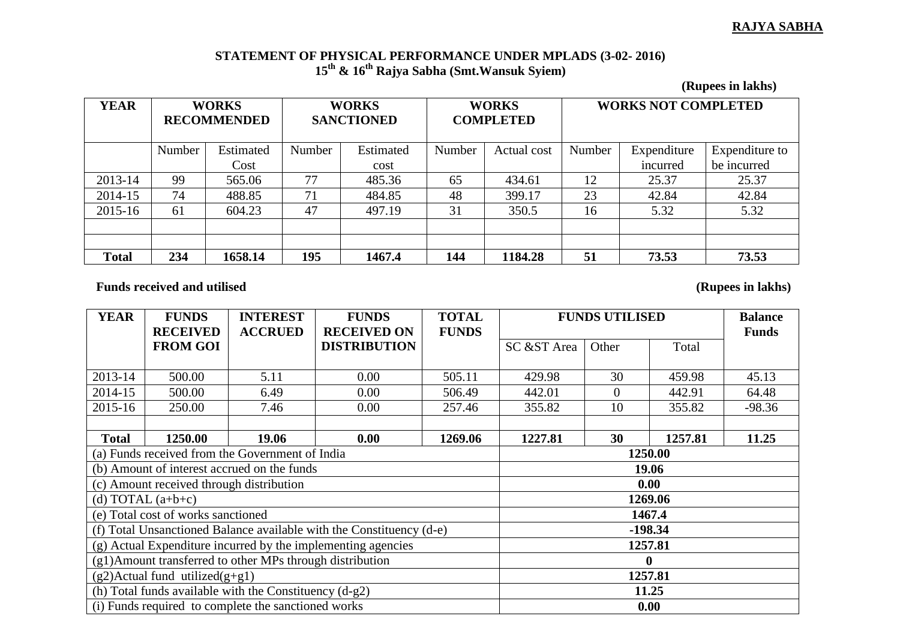## **RAJYA SABHA**

## **STATEMENT OF PHYSICAL PERFORMANCE UNDER MPLADS (3-02- 2016) 15th & 16th Rajya Sabha (Smt.Wansuk Syiem)**

**(Rupees in lakhs)**

| <b>YEAR</b>  | <b>WORKS</b><br><b>RECOMMENDED</b> |           | <b>WORKS</b><br><b>SANCTIONED</b> |           | <b>WORKS</b><br><b>COMPLETED</b> |             | <b>WORKS NOT COMPLETED</b> |             |                |
|--------------|------------------------------------|-----------|-----------------------------------|-----------|----------------------------------|-------------|----------------------------|-------------|----------------|
|              | Number                             | Estimated | Number                            | Estimated | Number                           | Actual cost | Number                     | Expenditure | Expenditure to |
|              |                                    | Cost      |                                   | cost      |                                  |             |                            | incurred    | be incurred    |
| 2013-14      | 99                                 | 565.06    | 77                                | 485.36    | 65                               | 434.61      | 12                         | 25.37       | 25.37          |
| 2014-15      | 74                                 | 488.85    | 71                                | 484.85    | 48                               | 399.17      | 23                         | 42.84       | 42.84          |
| 2015-16      | 61                                 | 604.23    | 47                                | 497.19    | 31                               | 350.5       | 16                         | 5.32        | 5.32           |
|              |                                    |           |                                   |           |                                  |             |                            |             |                |
|              |                                    |           |                                   |           |                                  |             |                            |             |                |
| <b>Total</b> | 234                                | 1658.14   | 195                               | 1467.4    | 144                              | 1184.28     | 51                         | 73.53       | 73.53          |

Funds received and utilised (Rupees in lakhs)

| <b>YEAR</b>                                                  | <b>FUNDS</b>                             | <b>INTEREST</b>                                                      | <b>FUNDS</b>        | <b>TOTAL</b> | <b>FUNDS UTILISED</b> |                |         | <b>Balance</b> |  |
|--------------------------------------------------------------|------------------------------------------|----------------------------------------------------------------------|---------------------|--------------|-----------------------|----------------|---------|----------------|--|
|                                                              | <b>RECEIVED</b>                          | <b>ACCRUED</b>                                                       | <b>RECEIVED ON</b>  | <b>FUNDS</b> |                       |                |         | <b>Funds</b>   |  |
|                                                              | <b>FROM GOI</b>                          |                                                                      | <b>DISTRIBUTION</b> |              | SC &ST Area           | Other          | Total   |                |  |
|                                                              |                                          |                                                                      |                     |              |                       |                |         |                |  |
| 2013-14                                                      | 500.00                                   | 5.11                                                                 | 0.00                | 505.11       | 429.98                | 30             | 459.98  | 45.13          |  |
| 2014-15                                                      | 500.00                                   | 6.49                                                                 | 0.00                | 506.49       | 442.01                | $\overline{0}$ | 442.91  | 64.48          |  |
| 2015-16                                                      | 250.00                                   | 7.46                                                                 | 0.00                | 257.46       | 355.82                | 10             | 355.82  | $-98.36$       |  |
|                                                              |                                          |                                                                      |                     |              |                       |                |         |                |  |
| <b>Total</b>                                                 | 1250.00                                  | 19.06                                                                | 0.00                | 1269.06      | 1227.81               | 30             | 1257.81 | 11.25          |  |
|                                                              |                                          | (a) Funds received from the Government of India                      | 1250.00             |              |                       |                |         |                |  |
|                                                              |                                          | (b) Amount of interest accrued on the funds                          | 19.06               |              |                       |                |         |                |  |
|                                                              | (c) Amount received through distribution |                                                                      | 0.00                |              |                       |                |         |                |  |
|                                                              | (d) TOTAL $(a+b+c)$                      |                                                                      | 1269.06             |              |                       |                |         |                |  |
|                                                              | (e) Total cost of works sanctioned       |                                                                      | 1467.4              |              |                       |                |         |                |  |
|                                                              |                                          | (f) Total Unsanctioned Balance available with the Constituency (d-e) | $-198.34$           |              |                       |                |         |                |  |
| (g) Actual Expenditure incurred by the implementing agencies |                                          |                                                                      |                     |              | 1257.81               |                |         |                |  |
| (g1)Amount transferred to other MPs through distribution     |                                          |                                                                      |                     |              |                       |                |         |                |  |
|                                                              | $(g2)$ Actual fund utilized $(g+g1)$     |                                                                      | 1257.81             |              |                       |                |         |                |  |
|                                                              |                                          | (h) Total funds available with the Constituency $(d-g2)$             | 11.25               |              |                       |                |         |                |  |
|                                                              |                                          | (i) Funds required to complete the sanctioned works                  | 0.00                |              |                       |                |         |                |  |